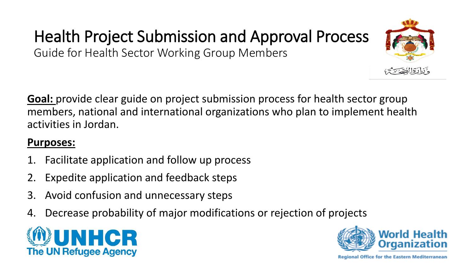## Health Project Submission and Approval Process

Guide for Health Sector Working Group Members

**Goal:** provide clear guide on project submission process for health sector group members, national and international organizations who plan to implement health activities in Jordan.

## **Purposes:**

- 1. Facilitate application and follow up process
- Expedite application and feedback steps
- 3. Avoid confusion and unnecessary steps
- 4. Decrease probability of major modifications or rejection of projects





وننارة الصبير

**Regional Office for the Eastern Mediterranean**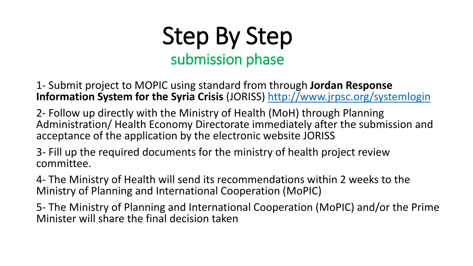

1- Submit project to MOPIC using standard from through **Jordan Response Information System for the Syria Crisis** (JORISS)<http://www.jrpsc.org/systemlogin>

2- Follow up directly with the Ministry of Health (MoH) through Planning Administration/ Health Economy Directorate immediately after the submission and acceptance of the application by the electronic website JORISS

3- Fill up the required documents for the ministry of health project review committee.

4- The Ministry of Health will send its recommendations within 2 weeks to the Ministry of Planning and International Cooperation (MoPIC)

5- The Ministry of Planning and International Cooperation (MoPIC) and/or the Prime Minister will share the final decision taken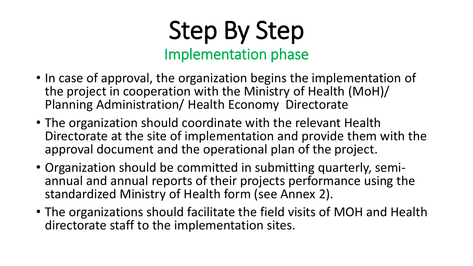## Step By Step Implementation phase

- In case of approval, the organization begins the implementation of the project in cooperation with the Ministry of Health (MoH)/ Planning Administration/ Health Economy Directorate
- The organization should coordinate with the relevant Health Directorate at the site of implementation and provide them with the approval document and the operational plan of the project.
- Organization should be committed in submitting quarterly, semiannual and annual reports of their projects performance using the standardized Ministry of Health form (see Annex 2).
- The organizations should facilitate the field visits of MOH and Health directorate staff to the implementation sites.